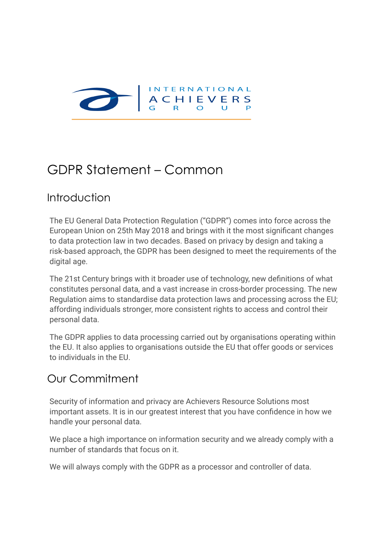

## GDPR Statement – Common

#### Introduction

The EU General Data Protection Regulation ("GDPR") comes into force across the European Union on 25th May 2018 and brings with it the most significant changes to data protection law in two decades. Based on privacy by design and taking a risk-based approach, the GDPR has been designed to meet the requirements of the digital age.

The 21st Century brings with it broader use of technology, new definitions of what constitutes personal data, and a vast increase in cross-border processing. The new Regulation aims to standardise data protection laws and processing across the EU; affording individuals stronger, more consistent rights to access and control their personal data.

The GDPR applies to data processing carried out by organisations operating within the EU. It also applies to organisations outside the EU that offer goods or services to individuals in the EU.

### Our Commitment

Security of information and privacy are Achievers Resource Solutions most important assets. It is in our greatest interest that you have confidence in how we handle your personal data.

We place a high importance on information security and we already comply with a number of standards that focus on it.

We will always comply with the GDPR as a processor and controller of data.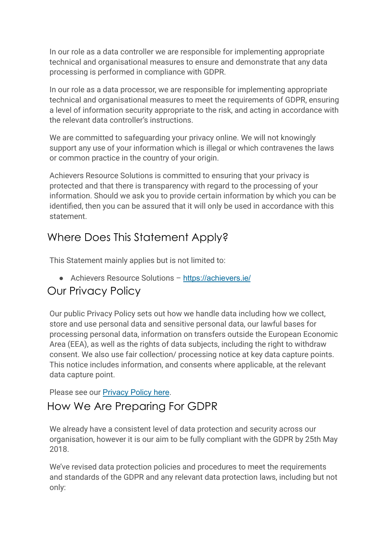In our role as a data controller we are responsible for implementing appropriate technical and organisational measures to ensure and demonstrate that any data processing is performed in compliance with GDPR.

In our role as a data processor, we are responsible for implementing appropriate technical and organisational measures to meet the requirements of GDPR, ensuring a level of information security appropriate to the risk, and acting in accordance with the relevant data controller's instructions.

We are committed to safeguarding your privacy online. We will not knowingly support any use of your information which is illegal or which contravenes the laws or common practice in the country of your origin.

Achievers Resource Solutions is committed to ensuring that your privacy is protected and that there is transparency with regard to the processing of your information. Should we ask you to provide certain information by which you can be identified, then you can be assured that it will only be used in accordance with this statement.

### Where Does This Statement Apply?

This Statement mainly applies but is not limited to:

● Achievers Resource Solutions – <https://achievers.ie/>

### Our Privacy Policy

Our public Privacy Policy sets out how we handle data including how we collect, store and use personal data and sensitive personal data, our lawful bases for processing personal data, information on transfers outside the European Economic Area (EEA), as well as the rights of data subjects, including the right to withdraw consent. We also use fair collection/ processing notice at key data capture points. This notice includes information, and consents where applicable, at the relevant data capture point.

Please see our [Privacy Policy here](https://achievers.ie/common/privacy-policy-common/).

### How We Are Preparing For GDPR

We already have a consistent level of data protection and security across our organisation, however it is our aim to be fully compliant with the GDPR by 25th May 2018.

We've revised data protection policies and procedures to meet the requirements and standards of the GDPR and any relevant data protection laws, including but not only: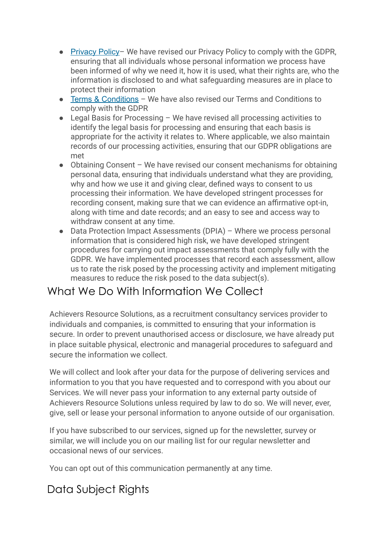- [Privacy Policy](https://achievers.ie/common/privacy-policy-common/) We have revised our Privacy Policy to comply with the GDPR, ensuring that all individuals whose personal information we process have been informed of why we need it, how it is used, what their rights are, who the information is disclosed to and what safeguarding measures are in place to protect their information
- [Terms & Conditions](https://achievers.ie/common/terms-conditions-common/) We have also revised our Terms and Conditions to comply with the GDPR
- Legal Basis for Processing We have revised all processing activities to identify the legal basis for processing and ensuring that each basis is appropriate for the activity it relates to. Where applicable, we also maintain records of our processing activities, ensuring that our GDPR obligations are met
- Obtaining Consent We have revised our consent mechanisms for obtaining personal data, ensuring that individuals understand what they are providing, why and how we use it and giving clear, defined ways to consent to us processing their information. We have developed stringent processes for recording consent, making sure that we can evidence an affirmative opt-in, along with time and date records; and an easy to see and access way to withdraw consent at any time.
- Data Protection Impact Assessments (DPIA) Where we process personal information that is considered high risk, we have developed stringent procedures for carrying out impact assessments that comply fully with the GDPR. We have implemented processes that record each assessment, allow us to rate the risk posed by the processing activity and implement mitigating measures to reduce the risk posed to the data subject(s).

#### What We Do With Information We Collect

Achievers Resource Solutions, as a recruitment consultancy services provider to individuals and companies, is committed to ensuring that your information is secure. In order to prevent unauthorised access or disclosure, we have already put in place suitable physical, electronic and managerial procedures to safeguard and secure the information we collect.

We will collect and look after your data for the purpose of delivering services and information to you that you have requested and to correspond with you about our Services. We will never pass your information to any external party outside of Achievers Resource Solutions unless required by law to do so. We will never, ever, give, sell or lease your personal information to anyone outside of our organisation.

If you have subscribed to our services, signed up for the newsletter, survey or similar, we will include you on our mailing list for our regular newsletter and occasional news of our services.

You can opt out of this communication permanently at any time.

### Data Subject Rights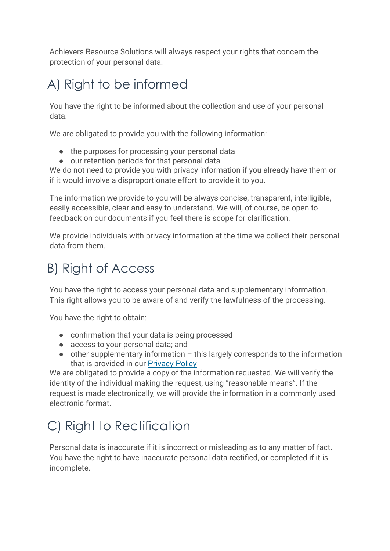Achievers Resource Solutions will always respect your rights that concern the protection of your personal data.

# A) Right to be informed

You have the right to be informed about the collection and use of your personal data.

We are obligated to provide you with the following information:

- the purposes for processing your personal data
- our retention periods for that personal data

We do not need to provide you with privacy information if you already have them or if it would involve a disproportionate effort to provide it to you.

The information we provide to you will be always concise, transparent, intelligible, easily accessible, clear and easy to understand. We will, of course, be open to feedback on our documents if you feel there is scope for clarification.

We provide individuals with privacy information at the time we collect their personal data from them.

## B) Right of Access

You have the right to access your personal data and supplementary information. This right allows you to be aware of and verify the lawfulness of the processing.

You have the right to obtain:

- confirmation that your data is being processed
- access to your personal data; and
- $\bullet$  other supplementary information this largely corresponds to the information that is provided in our [Privacy Policy](https://achievers.ie/common/privacy-policy-common/)

We are obligated to provide a copy of the information requested. We will verify the identity of the individual making the request, using "reasonable means". If the request is made electronically, we will provide the information in a commonly used electronic format.

# C) Right to Rectification

Personal data is inaccurate if it is incorrect or misleading as to any matter of fact. You have the right to have inaccurate personal data rectified, or completed if it is incomplete.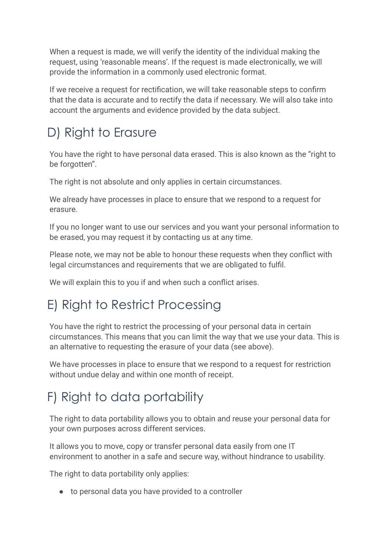When a request is made, we will verify the identity of the individual making the request, using 'reasonable means'. If the request is made electronically, we will provide the information in a commonly used electronic format.

If we receive a request for rectification, we will take reasonable steps to confirm that the data is accurate and to rectify the data if necessary. We will also take into account the arguments and evidence provided by the data subject.

# D) Right to Erasure

You have the right to have personal data erased. This is also known as the "right to be forgotten".

The right is not absolute and only applies in certain circumstances.

We already have processes in place to ensure that we respond to a request for erasure.

If you no longer want to use our services and you want your personal information to be erased, you may request it by contacting us at any time.

Please note, we may not be able to honour these requests when they conflict with legal circumstances and requirements that we are obligated to fulfil.

We will explain this to you if and when such a conflict arises.

# E) Right to Restrict Processing

You have the right to restrict the processing of your personal data in certain circumstances. This means that you can limit the way that we use your data. This is an alternative to requesting the erasure of your data (see above).

We have processes in place to ensure that we respond to a request for restriction without undue delay and within one month of receipt.

# F) Right to data portability

The right to data portability allows you to obtain and reuse your personal data for your own purposes across different services.

It allows you to move, copy or transfer personal data easily from one IT environment to another in a safe and secure way, without hindrance to usability.

The right to data portability only applies:

● to personal data you have provided to a controller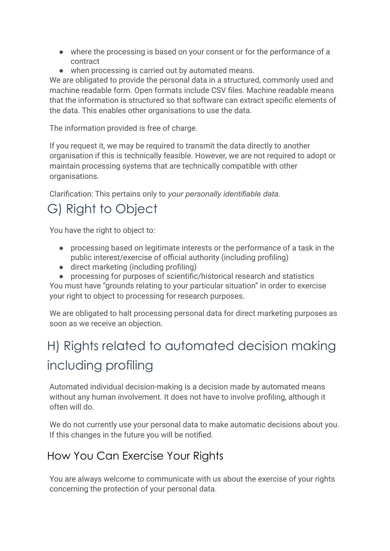- where the processing is based on your consent or for the performance of a contract
- when processing is carried out by automated means.

We are obligated to provide the personal data in a structured, commonly used and machine readable form. Open formats include CSV files. Machine readable means that the information is structured so that software can extract specific elements of the data. This enables other organisations to use the data.

The information provided is free of charge.

If you request it, we may be required to transmit the data directly to another organisation if this is technically feasible. However, we are not required to adopt or maintain processing systems that are technically compatible with other organisations.

Clarification: This pertains only to *your personally identifiable data*.

# G) Right to Object

You have the right to object to:

- processing based on legitimate interests or the performance of a task in the public interest/exercise of official authority (including profiling)
- direct marketing (including profiling)
- processing for purposes of scientific/historical research and statistics

You must have "grounds relating to your particular situation" in order to exercise your right to object to processing for research purposes.

We are obligated to halt processing personal data for direct marketing purposes as soon as we receive an objection.

# H) Rights related to automated decision making including profiling

Automated individual decision-making is a decision made by automated means without any human involvement. It does not have to involve profiling, although it often will do.

We do not currently use your personal data to make automatic decisions about you. If this changes in the future you will be notified.

## How You Can Exercise Your Rights

You are always welcome to communicate with us about the exercise of your rights concerning the protection of your personal data.